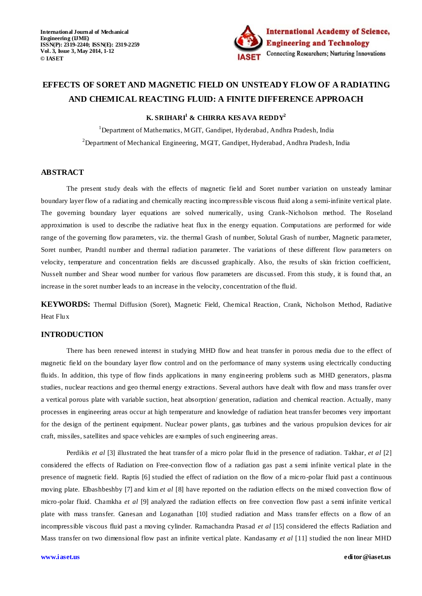

# **EFFECTS OF SORET AND MAGNETIC FIELD ON UNSTEADY FLOW OF A RADIATING AND CHEMICAL REACTING FLUID: A FINITE DIFFERENCE APPROACH**

**K. SRIHARI<sup>1</sup> & CHIRRA KES AVA REDDY<sup>2</sup>**

<sup>1</sup>Department of Mathematics, MGIT, Gandipet, Hyderabad, Andhra Pradesh, India <sup>2</sup>Department of Mechanical Engineering, MGIT, Gandipet, Hyderabad, Andhra Pradesh, India

# **ABSTRACT**

The present study deals with the effects of magnetic field and Soret number variation on unsteady laminar boundary layer flow of a radiating and chemically reacting incompressible viscous fluid along a semi-infinite vertical plate. The governing boundary layer equations are solved numerically, using Crank-Nicholson method. The Roseland approximation is used to describe the radiative heat flux in the energy equation. Computations are performed for wide range of the governing flow parameters, viz. the thermal Grash of number, Solutal Grash of number, Magnetic parameter, Soret number, Prandtl number and thermal radiation parameter. The variations of these different flow parameters on velocity, temperature and concentration fields are discussed graphically. Also, the results of skin friction coefficient, Nusselt number and Shear wood number for various flow parameters are discussed. From this study, it is found that, an increase in the soret number leads to an increase in the velocity, concentration of the fluid.

**KEYWORDS:** Thermal Diffusion (Soret), Magnetic Field, Chemical Reaction, Crank, Nicholson Method, Radiative Heat Flux

# **INTRODUCTION**

There has been renewed interest in studying MHD flow and heat transfer in porous media due to the effect of magnetic field on the boundary layer flow control and on the performance of many systems using electrically conducting fluids. In addition, this type of flow finds applications in many engineering problems such as MHD generators, plasma studies, nuclear reactions and geo thermal energy extractions. Several authors have dealt with flow and mass transfer over a vertical porous plate with variable suction, heat absorption/ generation, radiation and chemical reaction. Actually, many processes in engineering areas occur at high temperature and knowledge of radiation heat transfer becomes very important for the design of the pertinent equipment. Nuclear power plants, gas turbines and the various propulsion devices for air craft, missiles, satellites and space vehicles are examples of such engineering areas.

Perdikis *et al* [3] illustrated the heat transfer of a micro polar fluid in the presence of radiation. Takhar, *et al* [2] considered the effects of Radiation on Free-convection flow of a radiation gas past a semi infinite vertical plate in the presence of magnetic field. Raptis [6] studied the effect of radiation on the flow of a micro-polar fluid past a continuous moving plate. Elbashbeshby [7] and kim *et al* [8] have reported on the radiation effects on the mixed convection flow of micro-polar fluid. Chamkha *et al* [9] analyzed the radiation effects on free convection flow past a semi infinite vertical plate with mass transfer. Ganesan and Loganathan [10] studied radiation and Mass transfer effects on a flow of an incompressible viscous fluid past a moving cylinder. Ramachandra Prasad *et al* [15] considered the effects Radiation and Mass transfer on two dimensional flow past an infinite vertical plate*.* Kandasamy *et al* [11] studied the non linear MHD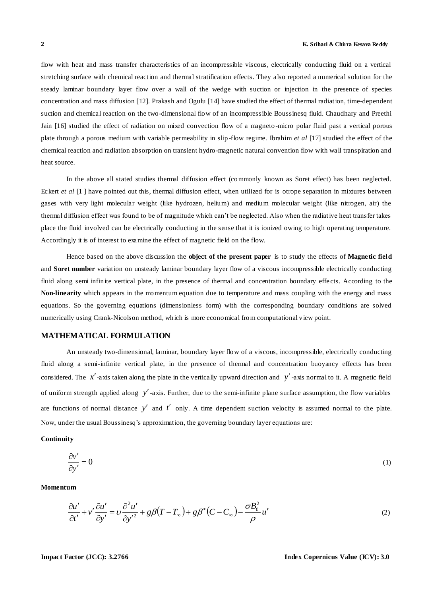flow with heat and mass transfer characteristics of an incompressible viscous, electrically conducting fluid on a vertical stretching surface with chemical reaction and thermal stratification effects. They also reported a numerical solution for the steady laminar boundary layer flow over a wall of the wedge with suction or injection in the presence of species concentration and mass diffusion [12]. Prakash and Ogulu [14] have studied the effect of thermal radiation, time-dependent suction and chemical reaction on the two-dimensional flow of an incompressible Boussinesq fluid. Chaudhary and Preethi Jain [16] studied the effect of radiation on mixed convection flow of a magneto-micro polar fluid past a vertical porous plate through a porous medium with variable permeability in slip-flow regime. Ibrahim *et al* [17] studied the effect of the chemical reaction and radiation absorption on transient hydro-magnetic natural convention flow with wall transpiration and heat source.

In the above all stated studies thermal diffusion effect (commonly known as Soret effect) has been neglected. Eckert *et al* [1] have pointed out this, thermal diffusion effect, when utilized for is otrope separation in mixtures between gases with very light molecular weight (like hydrozen, helium) and medium molecular weight (like nitrogen, air) the thermal diffusion effect was found to be of magnitude which can't be neglected. Also when the radiative heat transfer takes place the fluid involved can be electrically conducting in the sense that it is ionized owing to high operating temperature. Accordingly it is of interest to examine the effect of magnetic field on the flow.

Hence based on the above discussion the **object of the present paper** is to study the effects of **Magnetic field** and **Soret number** variation on unsteady laminar boundary layer flow of a viscous incompressible electrically conducting fluid along semi infinite vertical plate, in the presence of thermal and concentration boundary effe cts. According to the **Non-linearity** which appears in the momentum equation due to temperature and mass coupling with the energy and mass equations. So the governing equations (dimensionless form) with the corresponding boundary conditions are solved numerically using Crank-Nicolson method, which is more economical from computational view point.

# **MATHEMATICAL FORMULATION**

An unsteady two-dimensional, laminar, boundary layer flow of a viscous, incompressible, electrically conducting fluid along a semi-infinite vertical plate, in the presence of thermal and concentration buoyancy effects has been considered. The  $x'$ -axis taken along the plate in the vertically upward direction and  $y'$ -axis normal to it. A magnetic field of uniform strength applied along y'-axis. Further, due to the semi-infinite plane surface assumption, the flow variables are functions of normal distance  $y'$  and  $t'$  only. A time dependent suction velocity is assumed normal to the plate. Now, under the usual Boussinesq's approximation, the governing boundary layer equations are:

# **Continuity**

$$
\frac{\partial v'}{\partial y'} = 0 \tag{1}
$$

**Momentum**

$$
\frac{\partial u'}{\partial t'} + v' \frac{\partial u'}{\partial y'} = v \frac{\partial^2 u'}{\partial y'^2} + g \beta (T - T_{\infty}) + g \beta^* (C - C_{\infty}) - \frac{\sigma B_0^2}{\rho} u' \tag{2}
$$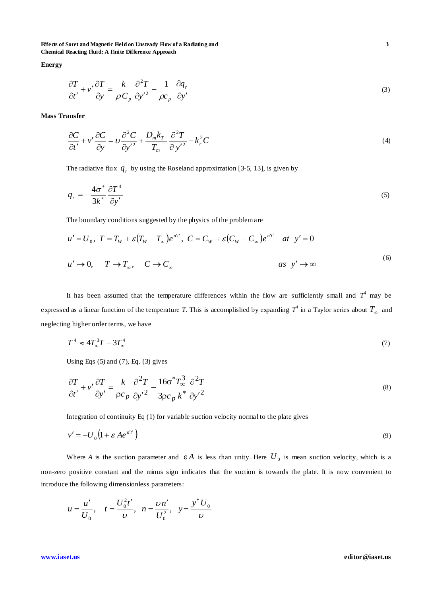**Effects of Soret and Magnetic Field on Unsteady Flow of a Radiating and 3 Chemical Reacting Fluid: A Finite Difference Approach**

**Energy**

$$
\frac{\partial T}{\partial t'} + v' \frac{\partial T}{\partial y} = \frac{k}{\rho C_p} \frac{\partial^2 T}{\partial y'^2} - \frac{1}{\rho c_p} \frac{\partial q_r}{\partial y'}
$$
(3)

**Mass Transfer**

$$
\frac{\partial C}{\partial t'} + v' \frac{\partial C}{\partial y} = v \frac{\partial^2 C}{\partial y'^2} + \frac{D_m k_T}{T_m} \frac{\partial^2 T}{\partial y'^2} - k_r^2 C
$$
\n(4)

The radiative flux  $q_r$  by using the Roseland approximation [3-5, 13], is given by

$$
q_r = -\frac{4\sigma^*}{3k^*} \frac{\partial T^4}{\partial y'} \tag{5}
$$

The boundary conditions suggested by the physics of the problem are

$$
u' = U_0, \ T = T_w + \varepsilon (T_w - T_\infty) e^{n' t'}, \ C = C_w + \varepsilon (C_w - C_\infty) e^{n' t'} \quad at \ y' = 0
$$
  

$$
u' \to 0, \quad T \to T_\infty, \quad C \to C_\infty
$$

It has been assumed that the temperature differences within the flow are sufficiently small and  $T^4$  may be expressed as a linear function of the temperature *T*. This is accomplished by expanding  $T^4$  in a Taylor series about  $T_\infty$  and neglecting higher order terms, we have

$$
T^4 \approx 4T_{\infty}^3 T - 3T_{\infty}^4 \tag{7}
$$

Using Eqs  $(5)$  and  $(7)$ , Eq.  $(3)$  gives

$$
\frac{\partial T}{\partial t'} + v' \frac{\partial T}{\partial y'} = \frac{k}{\rho c_p} \frac{\partial^2 T}{\partial y'^2} - \frac{16\sigma^* T_{\infty}^3}{3\rho c_p k^*} \frac{\partial^2 T}{\partial y'^2}
$$
\n(8)

Integration of continuity Eq (1) for variable suction velocity normal to the plate gives

$$
v' = -U_0 \left(1 + \varepsilon A e^{n' t'}\right) \tag{9}
$$

Where A is the suction parameter and  $\epsilon A$  is less than unity. Here  $U_0$  is mean suction velocity, which is a non-zero positive constant and the minus sign indicates that the suction is towards the plate. It is now convenient to introduce the following dimensionless parameters:

$$
u = \frac{u'}{U_0}
$$
,  $t = \frac{U_0^2 t'}{v}$ ,  $n = \frac{vn'}{U_0^2}$ ,  $y = \frac{y^* U_0}{v}$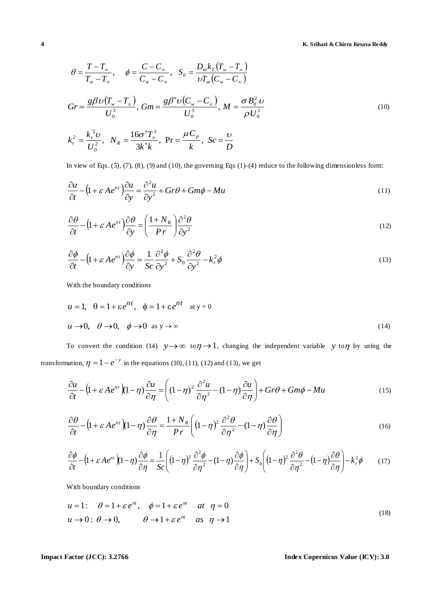$$
\theta = \frac{T - T_a}{T_w - T_a}, \quad \phi = \frac{C - C_a}{C_w - C_a}, \quad S_0 = \frac{D_w k_r (T_w - T_a)}{U_m^2 (C_w - C_a)}
$$
\n
$$
Gr = \frac{g \beta U (T_w - T_a)}{U_0^3}, \quad Gm = \frac{g \beta U (C_w - C_a)}{U_0^3}, \quad M = \frac{\sigma B_0^3 U}{\rho U_0^2}
$$
\n
$$
k_z^2 = \frac{k_r^2 U}{U_0^3}, \quad N_K = \frac{16\sigma' T_a^3}{3k'k}, \quad Pr = \frac{\mu C_v}{k}, \quad Sc = \frac{D}{D}
$$
\nIn view of Fig. (5), (7), (8), (9) and (10), the governing Fig. (1)-(4) reduce to the following dimensions form:  
\n
$$
\frac{\partial u}{\partial t} - (1 + \varepsilon A e^{u\tau}) \frac{\partial u}{\partial y} = \frac{\partial^2 u}{\partial y^2} + Gr\theta + Gm\phi - Mu
$$
\n
$$
\frac{\partial \theta}{\partial t} - (1 + \varepsilon A e^{u\tau}) \frac{\partial \theta}{\partial y} = \left(\frac{1 + N_K}{Pr}\right) \frac{\partial^2 \theta}{\partial y^2}
$$
\n
$$
\frac{\partial \phi}{\partial t} - (1 + \varepsilon A e^{u\tau}) \frac{\partial \phi}{\partial y} = \frac{1}{Sc} \frac{\partial^2 \phi}{\partial y^2} + S_0 \frac{\partial^2 \theta}{\partial y^2} - k_r^2 \phi
$$
\nWith the boundary conditions  
\n
$$
u = 1, \quad 0 = 1 + \varepsilon e^{nt}, \quad \phi = 1 + \varepsilon e^{nt} \quad \text{as } y \to 0
$$
\n
$$
v = 0, \quad \theta \to 0, \quad \phi \to 0 \quad \text{as } y \to \infty
$$
\nTo convert the condition (14)  $y \to \infty$  to  $\pi \to 1$ , changing the independent variable  $y$  to  $\pi$  by using the transformation,  $\eta = 1 - e^{-\gamma}$  in the equations (10), (11), (12) and (13), we get  
\n
$$
\frac{\partial u}{\partial t} - (1 + \varepsilon A e^{u\tau}) (1 - \eta) \frac{\partial \theta}{\partial \eta
$$

In view of Eqs.  $(5)$ ,  $(7)$ ,  $(8)$ ,  $(9)$  and  $(10)$ , the governing Eqs  $(1)-(4)$  reduce to the following dimensionless form:

$$
\frac{\partial u}{\partial t} - \left(1 + \varepsilon A e^{nt}\right) \frac{\partial u}{\partial y} = \frac{\partial^2 u}{\partial y^2} + Gr\theta + Gm\phi - Mu
$$
\n(11)

$$
\frac{\partial \theta}{\partial t} - \left(1 + \varepsilon A e^{nt}\right) \frac{\partial \theta}{\partial y} = \left(\frac{1 + N_R}{Pr}\right) \frac{\partial^2 \theta}{\partial y^2}
$$
(12)

$$
\frac{\partial \phi}{\partial t} - \left(1 + \varepsilon A e^{nt}\right) \frac{\partial \phi}{\partial y} = \frac{1}{Sc} \frac{\partial^2 \phi}{\partial y^2} + S_0 \frac{\partial^2 \theta}{\partial y^2} - k_r^2 \phi \tag{13}
$$

With the boundary conditions

$$
u = 1, \quad \theta = 1 + \varepsilon e^{nt}, \quad \phi = 1 + \varepsilon e^{nt} \quad \text{at } y = 0
$$
  
 $u \to 0, \quad \theta \to 0, \quad \phi \to 0 \quad \text{as } y \to \infty$  (14)

To convert the condition (14)  $y \rightarrow \infty$  to  $\eta \rightarrow 1$ , changing the independent variable y to  $\eta$  by using the

transformation, 
$$
\eta = 1 - e^{-y}
$$
 in the equations (10), (11), (12) and (13), we get  
\n
$$
\frac{\partial u}{\partial t} - \left(1 + \varepsilon A e^{nt}\right)\left(1 - \eta\right) \frac{\partial u}{\partial \eta} = \left((1 - \eta)^2 \frac{\partial^2 u}{\partial \eta^2} - (1 - \eta) \frac{\partial u}{\partial \eta}\right) + \mathbf{G}r\theta + \mathbf{G}m\phi - \mathbf{M}u
$$
\n(15)

$$
\frac{\partial \theta}{\partial t} - \left(1 + \varepsilon A e^{nt}\right)\left(1 - \eta\right) \frac{\partial \theta}{\partial \eta} = \frac{1 + N_R}{Pr} \left( \left(1 - \eta\right)^2 \frac{\partial^2 \theta}{\partial \eta^2} - \left(1 - \eta\right) \frac{\partial \theta}{\partial \eta} \right) \tag{16}
$$

$$
\frac{\partial \phi}{\partial t} - \left(1 + \varepsilon A e^{nt} \right) \left(1 - \eta\right) \frac{\partial \phi}{\partial \eta} = \frac{1}{Pr} \left(1 - \eta\right)^2 \frac{\partial \phi}{\partial \eta^2} - \left(1 - \eta\right) \frac{\partial \phi}{\partial \eta}\right)
$$
\n
$$
\frac{\partial \phi}{\partial t} - \left(1 + \varepsilon A e^{nt} \right) \left(1 - \eta\right) \frac{\partial \phi}{\partial \eta} = \frac{1}{Sc} \left(\left(1 - \eta\right)^2 \frac{\partial^2 \phi}{\partial \eta^2} - \left(1 - \eta\right) \frac{\partial \phi}{\partial \eta}\right) + S_0 \left(\left(1 - \eta\right)^2 \frac{\partial^2 \theta}{\partial \eta^2} - \left(1 - \eta\right) \frac{\partial \theta}{\partial \eta}\right) - k_r^2 \phi \tag{15}
$$

With boundary conditions

$$
u = 1: \quad \theta = 1 + \varepsilon e^{nt}, \quad \phi = 1 + \varepsilon e^{nt} \quad at \quad \eta = 0
$$
  

$$
u \to 0: \quad \theta \to 0, \qquad \theta \to 1 + \varepsilon e^{nt} \quad as \quad \eta \to 1
$$
 (18)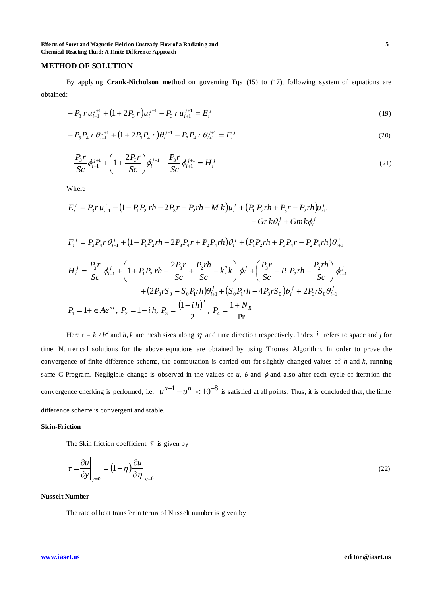**Effects of Soret and Magnetic Field on Unsteady Flow of a Radiating and 5 Chemical Reacting Fluid: A Finite Difference Approach**

# **METHOD OF SOLUTION**

By applying **Crank-Nicholson method** on governing Eqs (15) to (17), following system of equations are obtained:

$$
-P_3 r u_{i-1}^{j+1} + (1 + 2P_3 r) u_i^{j+1} - P_3 r u_{i+1}^{j+1} = E_i^j
$$
\n(19)

$$
-P_3 P_4 r \theta_{i-1}^{j+1} + (1 + 2P_3 P_4 r) \theta_i^{j+1} - P_3 P_4 r \theta_{i+1}^{j+1} = F_i^j
$$
\n(20)

$$
-\frac{P_3 r}{Sc} \phi_{i-1}^{j+1} + \left(1 + \frac{2P_3 r}{Sc}\right) \phi_i^{j+1} - \frac{P_3 r}{Sc} \phi_{i+1}^{j+1} = H_i^j
$$
(21)

Where

$$
E_{i}^{j} = P_{3} r u_{i-1}^{j} - (1 - P_{1} P_{2} r h - 2 P_{3} r + P_{2} r h - M k) u_{i}^{j} + (P_{1} P_{2} r h + P_{3} r - P_{2} r h) u_{i+1}^{j} + Gr k \theta_{i}^{j} + G m k \phi_{i}^{j} F_{i}^{j} = P_{3} P_{4} r \theta_{i-1}^{j} + (1 - P_{1} P_{2} r h - 2 P_{3} P_{4} r + P_{2} P_{4} r h) \theta_{i}^{j} + (P_{1} P_{2} r h + P_{3} P_{4} r - P_{2} P_{4} r h) \theta_{i+1}^{j} H_{i}^{j} = \frac{P_{3} r}{Sc} \phi_{i-1}^{j} + \left(1 + P_{1} P_{2} r h - \frac{2 P_{3} r}{Sc} + \frac{P_{2} r h}{Sc} - k_{r}^{2} k\right) \phi_{i}^{j} + \left(\frac{P_{3} r}{Sc} - P_{1} P_{2} r h - \frac{P_{2} r h}{Sc}\right) \phi_{i+1}^{j} + (2 P_{3} r S_{0} - S_{0} P_{1} r h) \theta_{i+1}^{j} + (S_{0} P_{1} r h - 4 P_{3} r S_{0}) \theta_{i}^{j} + 2 P_{3} r S_{0} \theta_{i-1}^{j} P_{1} = 1 + \epsilon A e^{n t}, P_{2} = 1 - i h, P_{3} = \frac{(1 - i h)^{2}}{2}, P_{4} = \frac{1 + N_{R}}{Pr}
$$

Here  $r = k / h^2$  and *h*, *k* are mesh sizes along  $\eta$  and time direction respectively. Index *i* refers to space and *j* for time. Numerical solutions for the above equations are obtained by using Thomas Algorithm. In order to prove the convergence of finite difference scheme, the computation is carried out for slightly changed values of *h* and *k*, running same C-Program. Negligible change is observed in the values of  $u$ ,  $\theta$  and  $\phi$  and also after each cycle of iteration the convergence checking is performed, i.e.  $|u^{n+1} - u^n| < 10^{-8}$  is satisfied at all points. Thus, it is concluded that, the finite difference scheme is convergent and stable.

### **Skin-Friction**

The Skin friction coefficient  $\tau$  is given by

$$
\tau = \frac{\partial u}{\partial y}\Big|_{y=0} = \left(1 - \eta\right) \frac{\partial u}{\partial \eta}\Big|_{\eta=0} \tag{22}
$$

# **Nusselt Number**

The rate of heat transfer in terms of Nusselt number is given by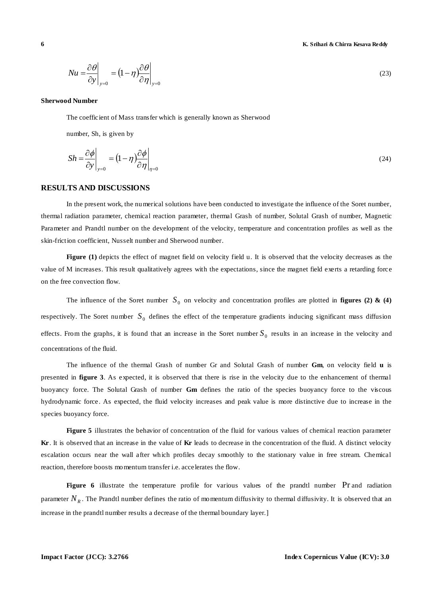$$
Nu = \frac{\partial \theta}{\partial y}\Big|_{y=0} = \left(1 - \eta\right) \frac{\partial \theta}{\partial \eta}\Big|_{y=0}
$$
\n(23)

#### **Sherwood Number**

The coefficient of Mass transfer which is generally known as Sherwood

number, Sh, is given by

$$
Sh = \frac{\partial \phi}{\partial y}\Big|_{y=0} = \left(1 - \eta\right) \frac{\partial \phi}{\partial \eta}\Big|_{\eta=0}
$$
\n(24)

# **RESULTS AND DISCUSSIONS**

In the present work, the numerical solutions have been conducted to investigate the influence of the Soret number, thermal radiation parameter, chemical reaction parameter, thermal Grash of number, Solutal Grash of number, Magnetic Parameter and Prandtl number on the development of the velocity, temperature and concentration profiles as well as the skin-friction coefficient, Nusselt number and Sherwood number.

**Figure (1)** depicts the effect of magnet field on velocity field u. It is observed that the velocity decreases as the value of M increases. This result qualitatively agrees with the expectations, since the magnet field exerts a retarding force on the free convection flow.

 $\frac{N_H}{N_H} = \frac{(1-\eta)_{D_H}^{(1)}}{\sum_{|I|=1}^{M_H}}$  (23<br> **International Windex**<br>
The occalcion is absolute which is presently known in Sharpool<br>
The conditions of the space of the system of the system of the system of the system of The influence of the Soret number  $S_0$  on velocity and concentration profiles are plotted in **figures (2) & (4)** respectively. The Soret number  $S_0$  defines the effect of the temperature gradients inducing significant mass diffusion effects. From the graphs, it is found that an increase in the Soret number  $S_0$  results in an increase in the velocity and concentrations of the fluid.

The influence of the thermal Grash of number Gr and Solutal Grash of number **Gm**, on velocity field **u** is presented in **figure 3**. As expected, it is observed that there is rise in the velocity due to the enhancement of thermal buoyancy force. The Solutal Grash of number **Gm** defines the ratio of the species buoyancy force to the viscous hydrodynamic force. As expected, the fluid velocity increases and peak value is more distinctive due to increase in the species buoyancy force.

**Figure 5** illustrates the behavior of concentration of the fluid for various values of chemical reaction parameter **Kr**. It is observed that an increase in the value of **Kr** leads to decrease in the concentration of the fluid. A distinct velocity escalation occurs near the wall after which profiles decay smoothly to the stationary value in free stream. Chemical reaction, therefore boosts momentum transfer i.e. accelerates the flow.

Figure 6 illustrate the temperature profile for various values of the prandtl number Pr and radiation parameter  $N_R$ . The Prandtl number defines the ratio of momentum diffusivity to thermal diffusivity. It is observed that an increase in the prandtl number results a decrease of the thermal boundary layer.]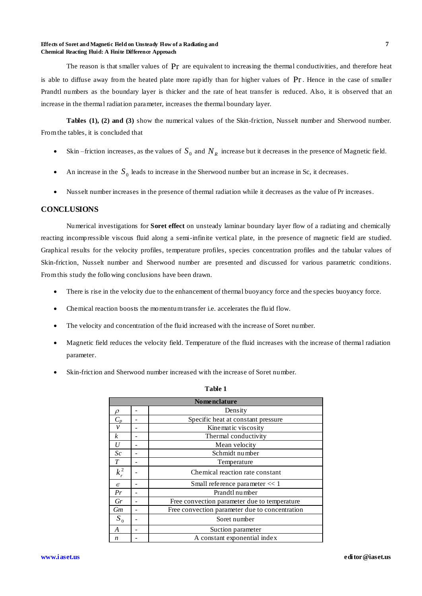### **Effects of Soret and Magnetic Field on Unsteady Flow of a Radiating and 7 Chemical Reacting Fluid: A Finite Difference Approach**

The reason is that smaller values of  $Pr$  are equivalent to increasing the thermal conductivities, and therefore heat is able to diffuse away from the heated plate more rapidly than for higher values of Pr. Hence in the case of smaller Prandtl numbers as the boundary layer is thicker and the rate of heat transfer is reduced. Also, it is observed that an increase in the thermal radiation parameter, increases the thermal boundary layer.

**Tables (1), (2) and (3)** show the numerical values of the Skin-friction, Nusselt number and Sherwood number. From the tables, it is concluded that

- Skin –friction increases, as the values of  $S_0$  and  $N_R$  increase but it decreases in the presence of Magnetic field.
- An increase in the  $S_0$  leads to increase in the Sherwood number but an increase in Sc, it decreases.
- Nusselt number increases in the presence of thermal radiation while it decreases as the value of Pr increases.

# **CONCLUSIONS**

Numerical investigations for **Soret effect** on unsteady laminar boundary layer flow of a radiating and chemically reacting incompressible viscous fluid along a semi-infinite vertical plate, in the presence of magnetic field are studied. Graphical results for the velocity profiles, temperature profiles, species concentration profiles and the tabular values of Skin-friction, Nusselt number and Sherwood number are presented and discussed for various parametric conditions. From this study the following conclusions have been drawn.

- There is rise in the velocity due to the enhancement of thermal buoyancy force and the species buoyancy force.
- Chemical reaction boosts the momentum transfer i.e. accelerates the fluid flow.
- The velocity and concentration of the fluid increased with the increase of Soret number.
- Magnetic field reduces the velocity field. Temperature of the fluid increases with the increase of thermal radiation parameter.
- Skin-friction and Sherwood number increased with the increase of Soret number.

| <b>Nomenclature</b> |  |                                                |  |  |  |  |  |  |
|---------------------|--|------------------------------------------------|--|--|--|--|--|--|
|                     |  |                                                |  |  |  |  |  |  |
| O                   |  | Density                                        |  |  |  |  |  |  |
| $C_p$               |  | Specific heat at constant pressure             |  |  |  |  |  |  |
| $\mathcal V$        |  | Kinematic viscosity                            |  |  |  |  |  |  |
| k                   |  | Thermal conductivity                           |  |  |  |  |  |  |
| U                   |  | Mean velocity                                  |  |  |  |  |  |  |
| Sc                  |  | Schmidt number                                 |  |  |  |  |  |  |
| T                   |  | Temperature                                    |  |  |  |  |  |  |
| $k_r^2$             |  | Chemical reaction rate constant                |  |  |  |  |  |  |
| $\epsilon$          |  | Small reference parameter $<< 1$               |  |  |  |  |  |  |
| Pr                  |  | Prandtl number                                 |  |  |  |  |  |  |
| Gr                  |  | Free convection parameter due to temperature   |  |  |  |  |  |  |
| Gm                  |  | Free convection parameter due to concentration |  |  |  |  |  |  |
| $S_0$               |  | Soret number                                   |  |  |  |  |  |  |
| A                   |  | Suction parameter                              |  |  |  |  |  |  |
| n                   |  | A constant exponential index                   |  |  |  |  |  |  |

# **Table 1**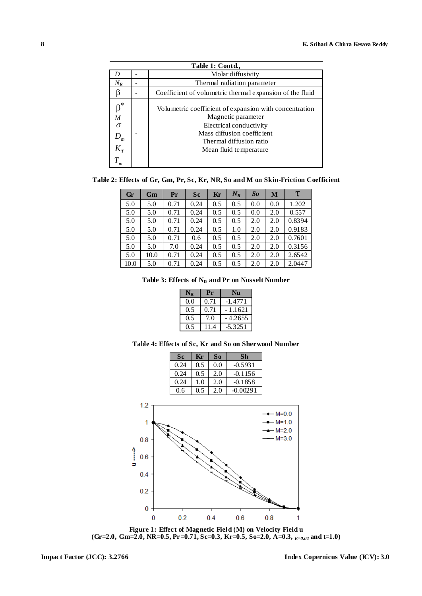| Table 1: Contd.,                                         |  |                                                                                                                                                                                            |  |  |  |  |  |
|----------------------------------------------------------|--|--------------------------------------------------------------------------------------------------------------------------------------------------------------------------------------------|--|--|--|--|--|
|                                                          |  | Molar diffusivity                                                                                                                                                                          |  |  |  |  |  |
| $N_R$                                                    |  | Thermal radiation parameter                                                                                                                                                                |  |  |  |  |  |
|                                                          |  | Coefficient of volumetric thermal expansion of the fluid                                                                                                                                   |  |  |  |  |  |
| $\beta^*$<br>M<br>$\sigma$<br>m<br>$K_{\tau}$<br>$T_{m}$ |  | Volumetric coefficient of expansion with concentration<br>Magnetic parameter<br>Electrical conductivity<br>Mass diffusion coefficient<br>Thermal diffusion ratio<br>Mean fluid temperature |  |  |  |  |  |

**Table 2: Effects of Gr, Gm, Pr, Sc, Kr, NR, So and M on Skin-Friction Coefficient**

| Gr   | Gm   | Pr   | Sc   | Kr  | $N_R$ | So  | M   | τ      |
|------|------|------|------|-----|-------|-----|-----|--------|
| 5.0  | 5.0  | 0.71 | 0.24 | 0.5 | 0.5   | 0.0 | 0.0 | 1.202  |
| 5.0  | 5.0  | 0.71 | 0.24 | 0.5 | 0.5   | 0.0 | 2.0 | 0.557  |
| 5.0  | 5.0  | 0.71 | 0.24 | 0.5 | 0.5   | 2.0 | 2.0 | 0.8394 |
| 5.0  | 5.0  | 0.71 | 0.24 | 0.5 | 1.0   | 2.0 | 2.0 | 0.9183 |
| 5.0  | 5.0  | 0.71 | 0.6  | 0.5 | 0.5   | 2.0 | 2.0 | 0.7601 |
| 5.0  | 5.0  | 7.0  | 0.24 | 0.5 | 0.5   | 2.0 | 2.0 | 0.3156 |
| 5.0  | 10.0 | 0.71 | 0.24 | 0.5 | 0.5   | 2.0 | 2.0 | 2.6542 |
| 10.0 | 5.0  | 0.71 | 0.24 | 0.5 | 0.5   | 2.0 | 2.0 | 2.0447 |

|  |  | Table 3: Effects of $N_R$ and Pr on Nusselt Number |
|--|--|----------------------------------------------------|
|--|--|----------------------------------------------------|

|     | Pr   |           |  |  |
|-----|------|-----------|--|--|
| 0.0 | 0.71 | $-1.4771$ |  |  |
| 0.5 | 0.71 | - 1.1621  |  |  |
| 0.5 | 7.0  | - 4.2655  |  |  |
|     | 11   | $-5.3251$ |  |  |

| Table 4: Effects of Sc, Kr and So on Sherwood Number |  |  |  |  |  |
|------------------------------------------------------|--|--|--|--|--|
|------------------------------------------------------|--|--|--|--|--|

|        |                                      | Sc   | Kr  | S <sub>0</sub> | Sh         |                                                                  |
|--------|--------------------------------------|------|-----|----------------|------------|------------------------------------------------------------------|
|        |                                      | 0.24 | 0.5 | 0.0            | $-0.5931$  |                                                                  |
|        |                                      | 0.24 | 0.5 | 2.0            | $-0.1156$  |                                                                  |
|        |                                      | 0.24 | 1.0 | 2.0            | $-0.1858$  |                                                                  |
|        |                                      | 0.6  | 0.5 | 2.0            | $-0.00291$ |                                                                  |
| Î<br>з | 1.2<br>1<br>0.8<br>0.6<br>0.4<br>0.2 |      |     |                |            | $\leftarrow$ M=0.0<br>$-$ M=1.0<br>$-$ M=2.0<br>$-M=3.0$<br>III. |
|        | 0                                    |      |     | т              |            |                                                                  |
|        | 0                                    | 0.2  |     | 0.4            | 0.6        | 0.8                                                              |

**Figure 1: Effect of Magnetic Field (M) on Velocity Field u (Gr=2.0, Gm=2.0, NR=0.5, Pr=0.71, Sc=0.3, Kr=0.5, So=2.0, A=0.3,** *E=0.01* **and t=1.0)**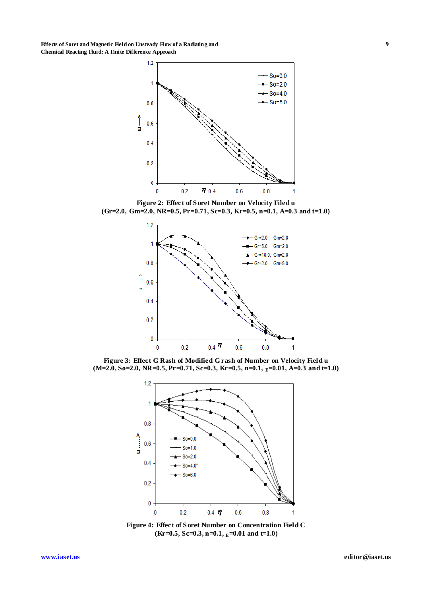**Effects of Soret and Magnetic Field on Unsteady Flow of a Radiating and 9 Chemical Reacting Fluid: A Finite Difference Approach**



**Figure 2: Effect of S oret Number on Velocity Filed u (Gr=2.0, Gm=2.0, NR=0.5, Pr=0.71, Sc=0.3, Kr=0.5, n=0.1, A=0.3 and t=1.0)**



**Figure 3: Effect G Rash of Modified G rash of Number on Velocity Field u (M=2.0, So=2.0, NR=0.5, Pr=0.71, Sc=0.3, Kr=0.5, n=0.1, E=0.01, A=0.3 and t=1.0)**



**Figure 4: Effect of S oret Number on Concentration Field C (Kr=0.5, Sc=0.3, n=0.1, E=0.01 and t=1.0)**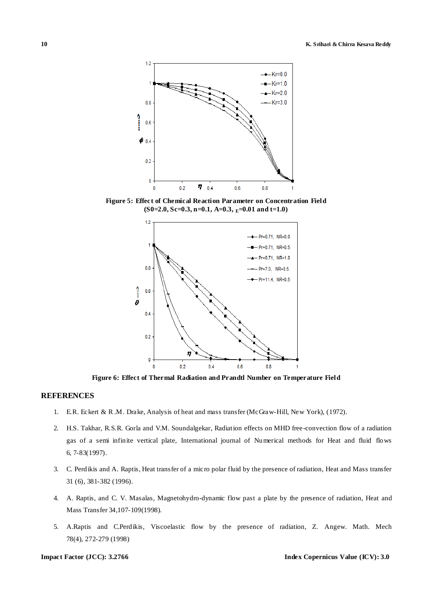

**Figure 5: Effect of Chemical Reaction Parameter on Concentration Field (S0=2.0, Sc=0.3, n=0.1, A=0.3, E=0.01 and t=1.0)**



**Figure 6: Effect of Thermal Radiation and Prandtl Number on Temperature Field**

# **REFERENCES**

- 1. E.R. Eckert & R .M. Drake, Analysis of heat and mass transfer (McGraw-Hill, New York), (1972).
- 2. H.S. Takhar, R.S.R. Gorla and V.M. Soundalgekar, Radiation effects on MHD free-convection flow of a radiation gas of a semi infinite vertical plate, International journal of Numerical methods for Heat and fluid flows 6, 7-83(1997).
- 3. C. Perdikis and A. Raptis, Heat transfer of a micro polar fluid by the presence of radiation, Heat and Mass transfer 31 (6), 381-382 (1996).
- 4. A. Raptis, and C. V. Masalas, Magnetohydro-dynamic flow past a plate by the presence of radiation, Heat and Mass Transfer 34,107-109(1998).
- 5. A.Raptis and C.Perdikis, Viscoelastic flow by the presence of radiation, Z. Angew. Math. Mech 78(4), 272-279 (1998)